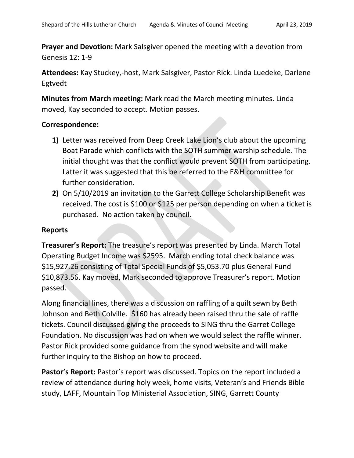**Prayer and Devotion:** Mark Salsgiver opened the meeting with a devotion from Genesis 12: 1-9

**Attendees:** Kay Stuckey,-host, Mark Salsgiver, Pastor Rick. Linda Luedeke, Darlene Egtvedt

**Minutes from March meeting:** Mark read the March meeting minutes. Linda moved, Kay seconded to accept. Motion passes.

## **Correspondence:**

- **1)** Letter was received from Deep Creek Lake Lion's club about the upcoming Boat Parade which conflicts with the SOTH summer warship schedule. The initial thought was that the conflict would prevent SOTH from participating. Latter it was suggested that this be referred to the E&H committee for further consideration.
- **2)** On 5/10/2019 an invitation to the Garrett College Scholarship Benefit was received. The cost is \$100 or \$125 per person depending on when a ticket is purchased. No action taken by council.

### **Reports**

**Treasurer's Report:** The treasure's report was presented by Linda. March Total Operating Budget Income was \$2595. March ending total check balance was \$15,927.26 consisting of Total Special Funds of \$5,053.70 plus General Fund \$10,873.56. Kay moved, Mark seconded to approve Treasurer's report. Motion passed.

Along financial lines, there was a discussion on raffling of a quilt sewn by Beth Johnson and Beth Colville. \$160 has already been raised thru the sale of raffle tickets. Council discussed giving the proceeds to SING thru the Garret College Foundation. No discussion was had on when we would select the raffle winner. Pastor Rick provided some guidance from the synod website and will make further inquiry to the Bishop on how to proceed.

**Pastor's Report:** Pastor's report was discussed. Topics on the report included a review of attendance during holy week, home visits, Veteran's and Friends Bible study, LAFF, Mountain Top Ministerial Association, SING, Garrett County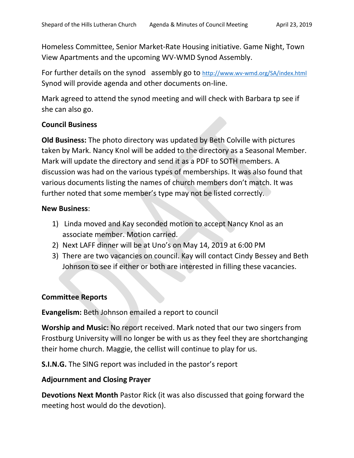Homeless Committee, Senior Market-Rate Housing initiative. Game Night, Town View Apartments and the upcoming WV-WMD Synod Assembly.

For further details on the synod assembly go to http://www.wv-wmd.org/SA/index.html Synod will provide agenda and other documents on-line.

Mark agreed to attend the synod meeting and will check with Barbara tp see if she can also go.

## **Council Business**

**Old Business:** The photo directory was updated by Beth Colville with pictures taken by Mark. Nancy Knol will be added to the directory as a Seasonal Member. Mark will update the directory and send it as a PDF to SOTH members. A discussion was had on the various types of memberships. It was also found that various documents listing the names of church members don't match. It was further noted that some member's type may not be listed correctly.

### **New Business**:

- 1) Linda moved and Kay seconded motion to accept Nancy Knol as an associate member. Motion carried.
- 2) Next LAFF dinner will be at Uno's on May 14, 2019 at 6:00 PM
- 3) There are two vacancies on council. Kay will contact Cindy Bessey and Beth Johnson to see if either or both are interested in filling these vacancies.

# **Committee Reports**

**Evangelism:** Beth Johnson emailed a report to council

**Worship and Music:** No report received. Mark noted that our two singers from Frostburg University will no longer be with us as they feel they are shortchanging their home church. Maggie, the cellist will continue to play for us.

**S.I.N.G.** The SING report was included in the pastor's report

# **Adjournment and Closing Prayer**

**Devotions Next Month** Pastor Rick (it was also discussed that going forward the meeting host would do the devotion).